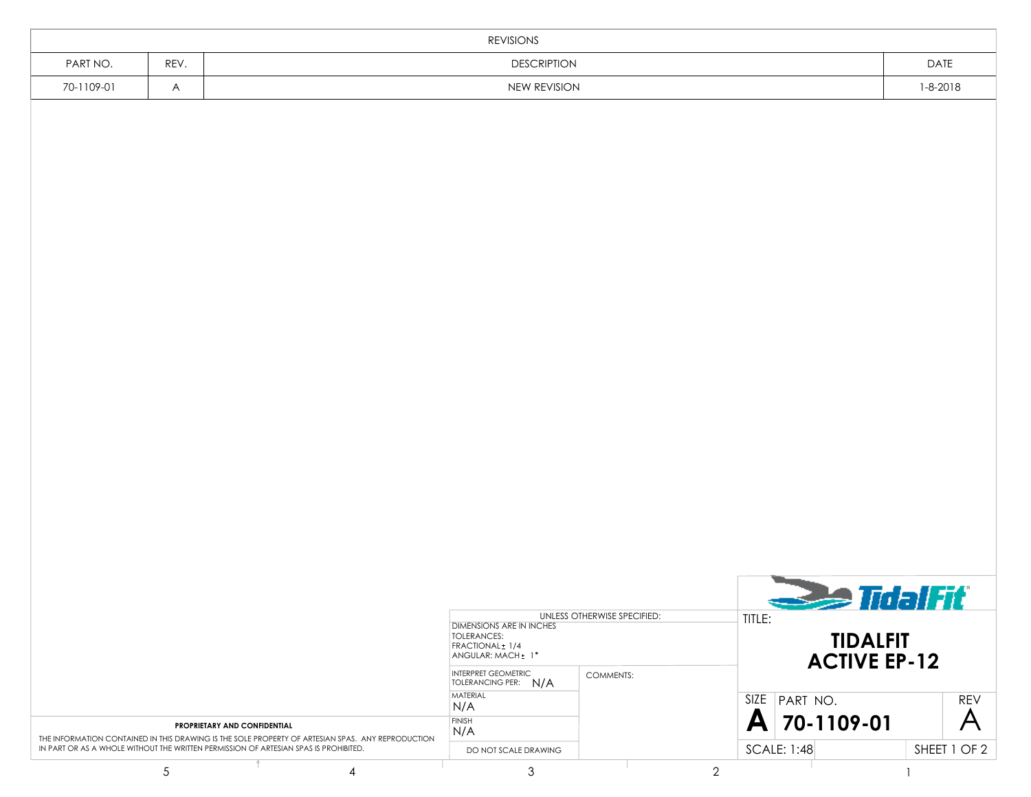| REVISIONS  |      |                    |                |  |  |  |  |  |
|------------|------|--------------------|----------------|--|--|--|--|--|
| PART NO.   | REV. | <b>DESCRIPTION</b> | DATE           |  |  |  |  |  |
| 70-1109-01 | A    | NEW REVISION       | $1 - 8 - 2018$ |  |  |  |  |  |
|            |      |                    |                |  |  |  |  |  |
|            |      |                    |                |  |  |  |  |  |
|            |      |                    |                |  |  |  |  |  |
|            |      |                    |                |  |  |  |  |  |
|            |      |                    |                |  |  |  |  |  |

|                                                                                                                                          | DIMENSIONS ARE IN INCHES<br>TOLERANCES:<br>FRACTIONAL + 1/4<br>ANGULAR: MACH + 1° | UNLESS OTHERWISE SPECIFIED:                                  | TITLE:           | <b>See TidalFit</b><br><b>TIDALFIT</b><br><b>ACTIVE EP-12</b> |              |            |
|------------------------------------------------------------------------------------------------------------------------------------------|-----------------------------------------------------------------------------------|--------------------------------------------------------------|------------------|---------------------------------------------------------------|--------------|------------|
|                                                                                                                                          |                                                                                   | <b>INTERPRET GEOMETRIC</b><br><b>TOLERANCING PER:</b><br>N/A | <b>COMMENTS:</b> |                                                               |              |            |
|                                                                                                                                          |                                                                                   | <b>MATERIAL</b><br>N/A                                       |                  | SIZE PART NO.                                                 |              | <b>REV</b> |
| <b>PROPRIETARY AND CONFIDENTIAL</b><br>THE INFORMATION CONTAINED IN THIS DRAWING IS THE SOLE PROPERTY OF ARTESIAN SPAS. ANY REPRODUCTION | <b>FINISH</b><br>N/A                                                              |                                                              | A 70-1109-01     |                                                               |              |            |
| IN PART OR AS A WHOLE WITHOUT THE WRITTEN PERMISSION OF ARTESIAN SPAS IS PROHIBITED.                                                     | DO NOT SCALE DRAWING                                                              |                                                              | SCALE: 1:48      |                                                               | SHEET 1 OF 2 |            |
|                                                                                                                                          |                                                                                   |                                                              |                  |                                                               |              |            |